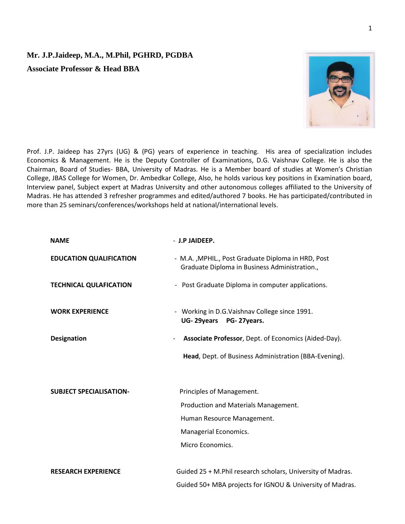## **Mr. J.P.Jaideep, M.A., M.Phil, PGHRD, PGDBA**

**Associate Professor & Head BBA** 



Prof. J.P. Jaideep has 27yrs (UG) & (PG) years of experience in teaching. His area of specialization includes Economics & Management. He is the Deputy Controller of Examinations, D.G. Vaishnav College. He is also the Chairman, Board of Studies- BBA, University of Madras. He is a Member board of studies at Women's Christian College, JBAS College for Women, Dr. Ambedkar College, Also, he holds various key positions in Examination board, Interview panel, Subject expert at Madras University and other autonomous colleges affiliated to the University of Madras. He has attended 3 refresher programmes and edited/authored 7 books. He has participated/contributed in more than 25 seminars/conferences/workshops held at national/international levels.

| <b>NAME</b>                    | - J.P JAIDEEP.                                                                                      |
|--------------------------------|-----------------------------------------------------------------------------------------------------|
| <b>EDUCATION QUALIFICATION</b> | - M.A., MPHIL., Post Graduate Diploma in HRD, Post<br>Graduate Diploma in Business Administration., |
| <b>TECHNICAL QULAFICATION</b>  | - Post Graduate Diploma in computer applications.                                                   |
| <b>WORK EXPERIENCE</b>         | - Working in D.G.Vaishnav College since 1991.<br>UG-29years PG-27years.                             |
| <b>Designation</b>             | Associate Professor, Dept. of Economics (Aided-Day).<br>$\overline{\phantom{a}}$                    |
|                                | Head, Dept. of Business Administration (BBA-Evening).                                               |
|                                |                                                                                                     |
| <b>SUBJECT SPECIALISATION-</b> | Principles of Management.                                                                           |
|                                | Production and Materials Management.                                                                |
|                                | Human Resource Management.                                                                          |
|                                | Managerial Economics.                                                                               |
|                                | Micro Economics.                                                                                    |
| <b>RESEARCH EXPERIENCE</b>     | Guided 25 + M.Phil research scholars, University of Madras.                                         |
|                                | Guided 50+ MBA projects for IGNOU & University of Madras.                                           |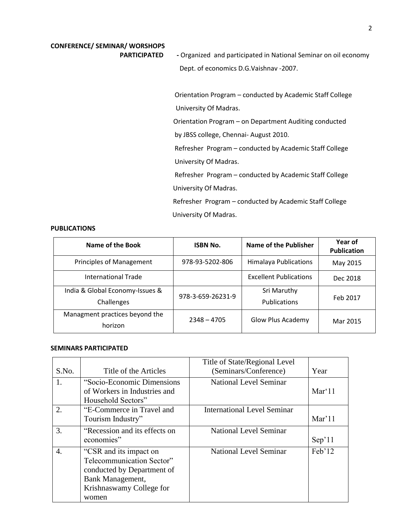# **CONFERENCE/ SEMINAR/ WORSHOPS**

**PARTICIPATED** - Organized and participated in National Seminar on oil economy Dept. of economics D.G.Vaishnav -2007.

> Orientation Program – conducted by Academic Staff College University Of Madras.

Orientation Program – on Department Auditing conducted

by JBSS college, Chennai- August 2010.

 Refresher Program – conducted by Academic Staff College University Of Madras.

Refresher Program – conducted by Academic Staff College University Of Madras.

 Refresher Program – conducted by Academic Staff College University Of Madras.

### **PUBLICATIONS**

| Name of the Book                | <b>ISBN No.</b>   | <b>Name of the Publisher</b>  | Year of<br><b>Publication</b> |
|---------------------------------|-------------------|-------------------------------|-------------------------------|
| Principles of Management        | 978-93-5202-806   | <b>Himalaya Publications</b>  | May 2015                      |
| <b>International Trade</b>      |                   | <b>Excellent Publications</b> | Dec 2018                      |
| India & Global Economy-Issues & | 978-3-659-26231-9 | Sri Maruthy                   |                               |
| Challenges                      |                   | <b>Publications</b>           | Feb 2017                      |
| Managment practices beyond the  | $2348 - 4705$     | <b>Glow Plus Academy</b>      | Mar 2015                      |
| horizon                         |                   |                               |                               |

### **SEMINARS PARTICIPATED**

|                  |                                                                                                                                            | Title of State/Regional Level      |        |
|------------------|--------------------------------------------------------------------------------------------------------------------------------------------|------------------------------------|--------|
| S.No.            | Title of the Articles                                                                                                                      | (Seminars/Conference)              | Year   |
| 1.               | "Socio-Economic Dimensions"<br>of Workers in Industries and<br>Household Sectors"                                                          | <b>National Level Seminar</b>      | Mar'11 |
| 2.               | "E-Commerce in Travel and<br>Tourism Industry"                                                                                             | <b>International Level Seminar</b> | Mar'11 |
| 3.               | "Recession and its effects on<br>economies"                                                                                                | <b>National Level Seminar</b>      | Sep'11 |
| $\overline{4}$ . | "CSR and its impact on<br>Telecommunication Sector"<br>conducted by Department of<br>Bank Management,<br>Krishnaswamy College for<br>women | <b>National Level Seminar</b>      | Feb'12 |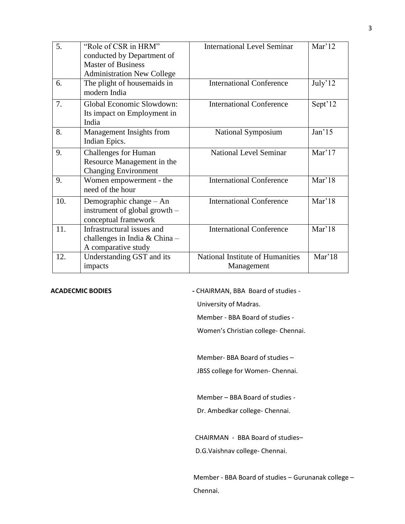| 5.  | "Role of CSR in HRM"                                                                     | <b>International Level Seminar</b>             | Mar'12            |
|-----|------------------------------------------------------------------------------------------|------------------------------------------------|-------------------|
|     | conducted by Department of                                                               |                                                |                   |
|     | <b>Master of Business</b>                                                                |                                                |                   |
|     | <b>Administration New College</b>                                                        |                                                |                   |
| 6.  | The plight of house maids in<br>modern India                                             | <b>International Conference</b>                | July'12           |
| 7.  | Global Economic Slowdown:<br>Its impact on Employment in<br>India                        | <b>International Conference</b>                | Sept'12           |
| 8.  | Management Insights from<br>Indian Epics.                                                | National Symposium                             | Jan <sup>15</sup> |
| 9.  | <b>Challenges for Human</b><br>Resource Management in the<br><b>Changing Environment</b> | <b>National Level Seminar</b>                  | Mar'17            |
| 9.  | Women empowerment - the<br>need of the hour                                              | <b>International Conference</b>                | Mar'18            |
| 10. | Demographic change - An<br>instrument of global growth -<br>conceptual framework         | <b>International Conference</b>                | Mar'18            |
| 11. | Infrastructural issues and<br>challenges in India & China-<br>A comparative study        | <b>International Conference</b>                | Mar'18            |
| 12. | Understanding GST and its<br>impacts                                                     | National Institute of Humanities<br>Management | Mar'18            |

ACADECMIC BODIES **-** CHAIRMAN, BBA Board of studies -

University of Madras.

Member - BBA Board of studies -

Women's Christian college- Chennai.

Member- BBA Board of studies –

JBSS college for Women- Chennai.

Member – BBA Board of studies -

Dr. Ambedkar college- Chennai.

CHAIRMAN - BBA Board of studies–

D.G.Vaishnav college- Chennai.

Member - BBA Board of studies – Gurunanak college – Chennai.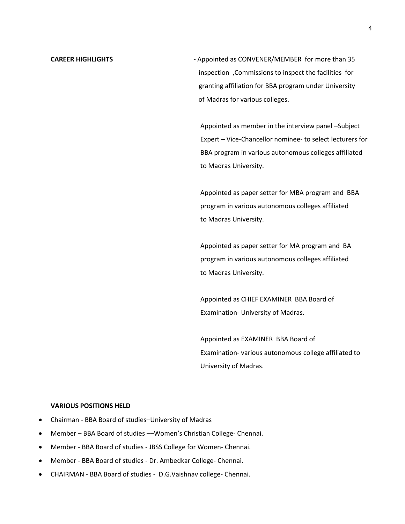**CAREER HIGHLIGHTS CAREER HIGHLIGHTS -** Appointed as CONVENER/MEMBER for more than 35 inspection ,Commissions to inspect the facilities for granting affiliation for BBA program under University of Madras for various colleges.

> Appointed as member in the interview panel –Subject Expert – Vice-Chancellor nominee- to select lecturers for BBA program in various autonomous colleges affiliated to Madras University.

 Appointed as paper setter for MBA program and BBA program in various autonomous colleges affiliated to Madras University.

 Appointed as paper setter for MA program and BA program in various autonomous colleges affiliated to Madras University.

 Appointed as CHIEF EXAMINER BBA Board of Examination- University of Madras.

 Appointed as EXAMINER BBA Board of Examination- various autonomous college affiliated to University of Madras.

#### **VARIOUS POSITIONS HELD**

- Chairman BBA Board of studies–University of Madras
- Member BBA Board of studies ––Women's Christian College- Chennai.
- Member BBA Board of studies JBSS College for Women- Chennai.
- Member BBA Board of studies Dr. Ambedkar College- Chennai.
- CHAIRMAN BBA Board of studies D.G.Vaishnav college- Chennai.